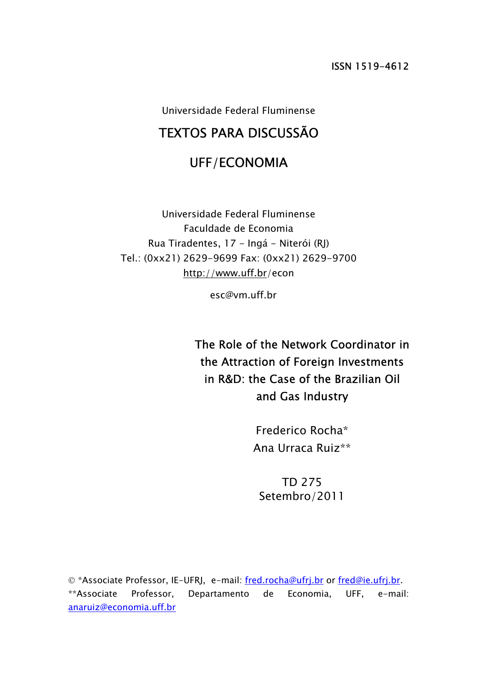Universidade Federal Fluminense

# TEXTOS PARA DISCUSSÃO

## UFF/ECONOMIA

Universidade Federal Fluminense Faculdade de Economia Rua Tiradentes, 17 - Ingá - Niterói (RJ) Tel.: (0xx21) 2629-9699 Fax: (0xx21) 2629-9700 http://www.uff.br/econ

esc@vm.uff.br

The Role of the Network Coordinator in the Attraction of Foreign Investments in R&D: the Case of the Brazilian Oil and Gas Industry

> Frederico Rocha\* Ana Urraca Ruiz\*\*

TD 275 Setembro/2011

© \*Associate Professor, IE-UFRJ, e-mail: fred.rocha@ufrj.br or fred@ie.ufrj.br. \*\*Associate Professor, Departamento de Economia, UFF, e-mail: anaruiz@economia.uff.br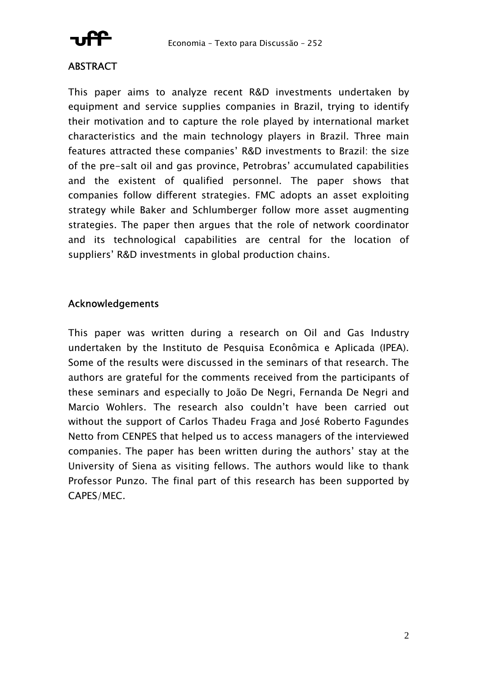

### **ABSTRACT**

This paper aims to analyze recent R&D investments undertaken by equipment and service supplies companies in Brazil, trying to identify their motivation and to capture the role played by international market characteristics and the main technology players in Brazil. Three main features attracted these companies' R&D investments to Brazil: the size of the pre-salt oil and gas province, Petrobras' accumulated capabilities and the existent of qualified personnel. The paper shows that companies follow different strategies. FMC adopts an asset exploiting strategy while Baker and Schlumberger follow more asset augmenting strategies. The paper then argues that the role of network coordinator and its technological capabilities are central for the location of suppliers' R&D investments in global production chains.

### Acknowledgements

This paper was written during a research on Oil and Gas Industry undertaken by the Instituto de Pesquisa Econômica e Aplicada (IPEA). Some of the results were discussed in the seminars of that research. The authors are grateful for the comments received from the participants of these seminars and especially to João De Negri, Fernanda De Negri and Marcio Wohlers. The research also couldn't have been carried out without the support of Carlos Thadeu Fraga and José Roberto Fagundes Netto from CENPES that helped us to access managers of the interviewed companies. The paper has been written during the authors' stay at the University of Siena as visiting fellows. The authors would like to thank Professor Punzo. The final part of this research has been supported by CAPES/MEC.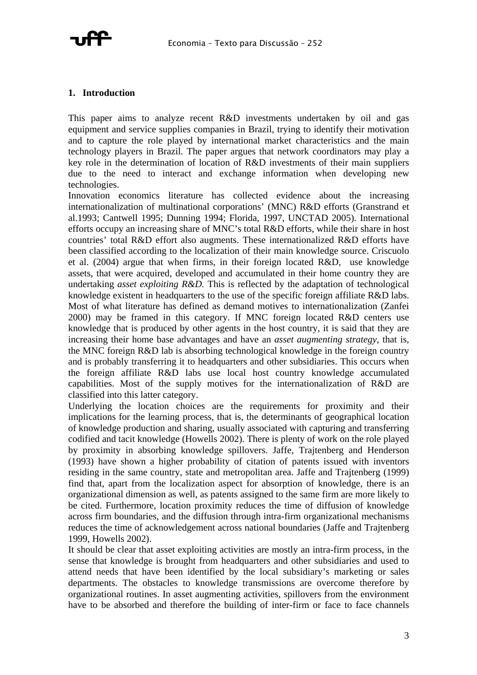

#### **1. Introduction**

This paper aims to analyze recent R&D investments undertaken by oil and gas equipment and service supplies companies in Brazil, trying to identify their motivation and to capture the role played by international market characteristics and the main technology players in Brazil. The paper argues that network coordinators may play a key role in the determination of location of R&D investments of their main suppliers due to the need to interact and exchange information when developing new technologies.

Innovation economics literature has collected evidence about the increasing internationalization of multinational corporations' (MNC) R&D efforts (Granstrand et al.1993; Cantwell 1995; Dunning 1994; Florida, 1997, UNCTAD 2005). International efforts occupy an increasing share of MNC's total R&D efforts, while their share in host countries' total R&D effort also augments. These internationalized R&D efforts have been classified according to the localization of their main knowledge source. Criscuolo et al. (2004) argue that when firms, in their foreign located R&D, use knowledge assets, that were acquired, developed and accumulated in their home country they are undertaking *asset exploiting R&D.* This is reflected by the adaptation of technological knowledge existent in headquarters to the use of the specific foreign affiliate R&D labs. Most of what literature has defined as demand motives to internationalization (Zanfei 2000) may be framed in this category. If MNC foreign located R&D centers use knowledge that is produced by other agents in the host country, it is said that they are increasing their home base advantages and have an *asset augmenting strategy*, that is, the MNC foreign R&D lab is absorbing technological knowledge in the foreign country and is probably transferring it to headquarters and other subsidiaries. This occurs when the foreign affiliate R&D labs use local host country knowledge accumulated capabilities. Most of the supply motives for the internationalization of R&D are classified into this latter category.

Underlying the location choices are the requirements for proximity and their implications for the learning process, that is, the determinants of geographical location of knowledge production and sharing, usually associated with capturing and transferring codified and tacit knowledge (Howells 2002). There is plenty of work on the role played by proximity in absorbing knowledge spillovers. Jaffe, Trajtenberg and Henderson (1993) have shown a higher probability of citation of patents issued with inventors residing in the same country, state and metropolitan area. Jaffe and Trajtenberg (1999) find that, apart from the localization aspect for absorption of knowledge, there is an organizational dimension as well, as patents assigned to the same firm are more likely to be cited. Furthermore, location proximity reduces the time of diffusion of knowledge across firm boundaries, and the diffusion through intra-firm organizational mechanisms reduces the time of acknowledgement across national boundaries (Jaffe and Trajtenberg 1999, Howells 2002).

It should be clear that asset exploiting activities are mostly an intra-firm process, in the sense that knowledge is brought from headquarters and other subsidiaries and used to attend needs that have been identified by the local subsidiary's marketing or sales departments. The obstacles to knowledge transmissions are overcome therefore by organizational routines. In asset augmenting activities, spillovers from the environment have to be absorbed and therefore the building of inter-firm or face to face channels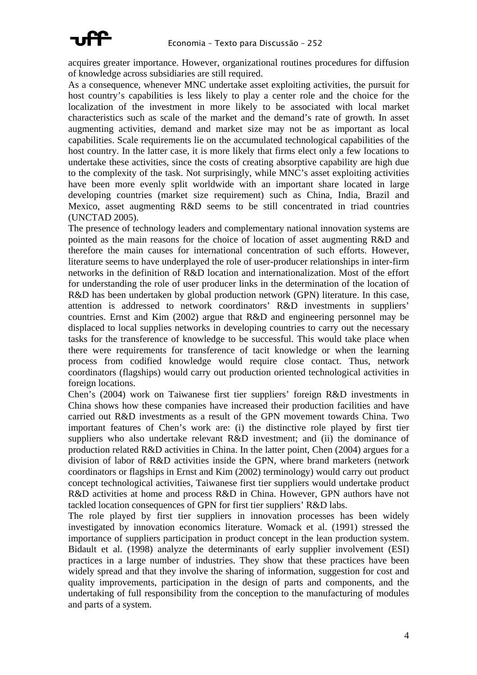

acquires greater importance. However, organizational routines procedures for diffusion of knowledge across subsidiaries are still required.

As a consequence, whenever MNC undertake asset exploiting activities, the pursuit for host country's capabilities is less likely to play a center role and the choice for the localization of the investment in more likely to be associated with local market characteristics such as scale of the market and the demand's rate of growth. In asset augmenting activities, demand and market size may not be as important as local capabilities. Scale requirements lie on the accumulated technological capabilities of the host country. In the latter case, it is more likely that firms elect only a few locations to undertake these activities, since the costs of creating absorptive capability are high due to the complexity of the task. Not surprisingly, while MNC's asset exploiting activities have been more evenly split worldwide with an important share located in large developing countries (market size requirement) such as China, India, Brazil and Mexico, asset augmenting R&D seems to be still concentrated in triad countries (UNCTAD 2005).

The presence of technology leaders and complementary national innovation systems are pointed as the main reasons for the choice of location of asset augmenting R&D and therefore the main causes for international concentration of such efforts. However, literature seems to have underplayed the role of user-producer relationships in inter-firm networks in the definition of R&D location and internationalization. Most of the effort for understanding the role of user producer links in the determination of the location of R&D has been undertaken by global production network (GPN) literature. In this case, attention is addressed to network coordinators' R&D investments in suppliers' countries. Ernst and Kim (2002) argue that R&D and engineering personnel may be displaced to local supplies networks in developing countries to carry out the necessary tasks for the transference of knowledge to be successful. This would take place when there were requirements for transference of tacit knowledge or when the learning process from codified knowledge would require close contact. Thus, network coordinators (flagships) would carry out production oriented technological activities in foreign locations.

Chen's (2004) work on Taiwanese first tier suppliers' foreign R&D investments in China shows how these companies have increased their production facilities and have carried out R&D investments as a result of the GPN movement towards China. Two important features of Chen's work are: (i) the distinctive role played by first tier suppliers who also undertake relevant R&D investment; and (ii) the dominance of production related R&D activities in China. In the latter point, Chen (2004) argues for a division of labor of R&D activities inside the GPN, where brand marketers (network coordinators or flagships in Ernst and Kim (2002) terminology) would carry out product concept technological activities, Taiwanese first tier suppliers would undertake product R&D activities at home and process R&D in China. However, GPN authors have not tackled location consequences of GPN for first tier suppliers' R&D labs.

The role played by first tier suppliers in innovation processes has been widely investigated by innovation economics literature. Womack et al. (1991) stressed the importance of suppliers participation in product concept in the lean production system. Bidault et al. (1998) analyze the determinants of early supplier involvement (ESI) practices in a large number of industries. They show that these practices have been widely spread and that they involve the sharing of information, suggestion for cost and quality improvements, participation in the design of parts and components, and the undertaking of full responsibility from the conception to the manufacturing of modules and parts of a system.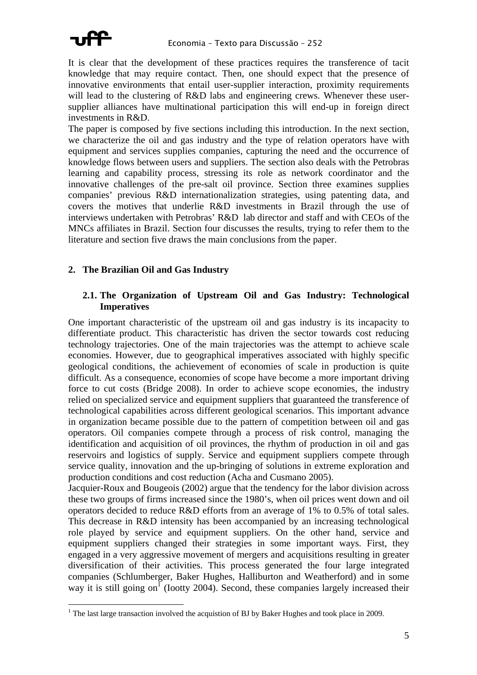

 $\overline{a}$ 

It is clear that the development of these practices requires the transference of tacit knowledge that may require contact. Then, one should expect that the presence of innovative environments that entail user-supplier interaction, proximity requirements will lead to the clustering of R&D labs and engineering crews. Whenever these usersupplier alliances have multinational participation this will end-up in foreign direct investments in R&D.

The paper is composed by five sections including this introduction. In the next section, we characterize the oil and gas industry and the type of relation operators have with equipment and services supplies companies, capturing the need and the occurrence of knowledge flows between users and suppliers. The section also deals with the Petrobras learning and capability process, stressing its role as network coordinator and the innovative challenges of the pre-salt oil province. Section three examines supplies companies' previous R&D internationalization strategies, using patenting data, and covers the motives that underlie R&D investments in Brazil through the use of interviews undertaken with Petrobras' R&D lab director and staff and with CEOs of the MNCs affiliates in Brazil. Section four discusses the results, trying to refer them to the literature and section five draws the main conclusions from the paper.

#### **2. The Brazilian Oil and Gas Industry**

#### **2.1. The Organization of Upstream Oil and Gas Industry: Technological Imperatives**

One important characteristic of the upstream oil and gas industry is its incapacity to differentiate product. This characteristic has driven the sector towards cost reducing technology trajectories. One of the main trajectories was the attempt to achieve scale economies. However, due to geographical imperatives associated with highly specific geological conditions, the achievement of economies of scale in production is quite difficult. As a consequence, economies of scope have become a more important driving force to cut costs (Bridge 2008). In order to achieve scope economies, the industry relied on specialized service and equipment suppliers that guaranteed the transference of technological capabilities across different geological scenarios. This important advance in organization became possible due to the pattern of competition between oil and gas operators. Oil companies compete through a process of risk control, managing the identification and acquisition of oil provinces, the rhythm of production in oil and gas reservoirs and logistics of supply. Service and equipment suppliers compete through service quality, innovation and the up-bringing of solutions in extreme exploration and production conditions and cost reduction (Acha and Cusmano 2005).

Jacquier-Roux and Bougeois (2002) argue that the tendency for the labor division across these two groups of firms increased since the 1980's, when oil prices went down and oil operators decided to reduce R&D efforts from an average of 1% to 0.5% of total sales. This decrease in R&D intensity has been accompanied by an increasing technological role played by service and equipment suppliers. On the other hand, service and equipment suppliers changed their strategies in some important ways. First, they engaged in a very aggressive movement of mergers and acquisitions resulting in greater diversification of their activities. This process generated the four large integrated companies (Schlumberger, Baker Hughes, Halliburton and Weatherford) and in some way it is still going on<sup>1</sup> (Iootty 2004). Second, these companies largely increased their

<sup>&</sup>lt;sup>1</sup> The last large transaction involved the acquistion of BJ by Baker Hughes and took place in 2009.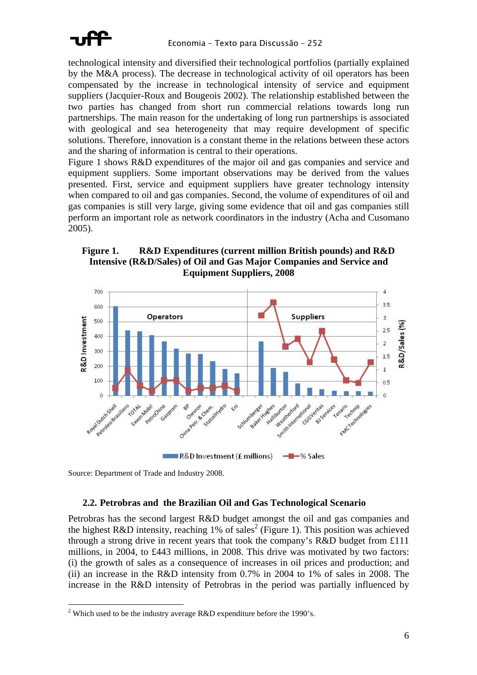

technological intensity and diversified their technological portfolios (partially explained by the M&A process). The decrease in technological activity of oil operators has been compensated by the increase in technological intensity of service and equipment suppliers (Jacquier-Roux and Bougeois 2002). The relationship established between the two parties has changed from short run commercial relations towards long run partnerships. The main reason for the undertaking of long run partnerships is associated with geological and sea heterogeneity that may require development of specific solutions. Therefore, innovation is a constant theme in the relations between these actors and the sharing of information is central to their operations.

Figure 1 shows R&D expenditures of the major oil and gas companies and service and equipment suppliers. Some important observations may be derived from the values presented. First, service and equipment suppliers have greater technology intensity when compared to oil and gas companies. Second, the volume of expenditures of oil and gas companies is still very large, giving some evidence that oil and gas companies still perform an important role as network coordinators in the industry (Acha and Cusomano 2005).

#### **Figure 1. R&D Expenditures (current million British pounds) and R&D Intensive (R&D/Sales) of Oil and Gas Major Companies and Service and Equipment Suppliers, 2008**



Source: Department of Trade and Industry 2008.

 $\overline{a}$ 

#### **2.2. Petrobras and the Brazilian Oil and Gas Technological Scenario**

Petrobras has the second largest R&D budget amongst the oil and gas companies and the highest R&D intensity, reaching 1% of sales<sup>2</sup> (Figure 1). This position was achieved through a strong drive in recent years that took the company's R&D budget from £111 millions, in 2004, to £443 millions, in 2008. This drive was motivated by two factors: (i) the growth of sales as a consequence of increases in oil prices and production; and (ii) an increase in the R&D intensity from 0.7% in 2004 to 1% of sales in 2008. The increase in the R&D intensity of Petrobras in the period was partially influenced by

<sup>&</sup>lt;sup>2</sup> Which used to be the industry average R&D expenditure before the 1990's.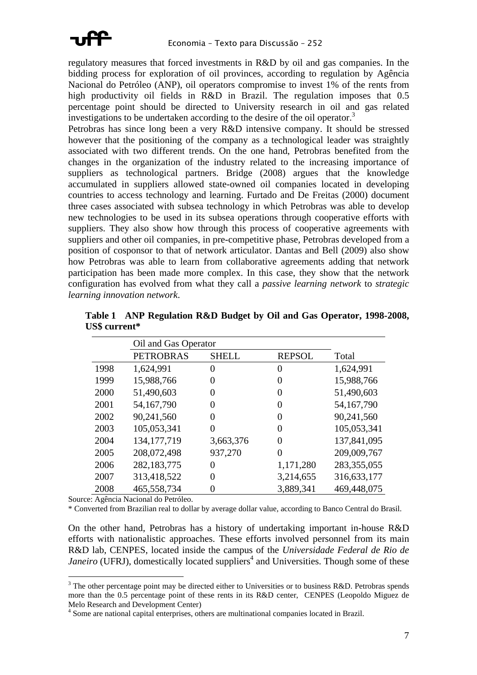

regulatory measures that forced investments in R&D by oil and gas companies. In the bidding process for exploration of oil provinces, according to regulation by Agência Nacional do Petróleo (ANP), oil operators compromise to invest 1% of the rents from high productivity oil fields in R&D in Brazil. The regulation imposes that  $0.5$ percentage point should be directed to University research in oil and gas related investigations to be undertaken according to the desire of the oil operator.<sup>3</sup>

Petrobras has since long been a very R&D intensive company. It should be stressed however that the positioning of the company as a technological leader was straightly associated with two different trends. On the one hand, Petrobras benefited from the changes in the organization of the industry related to the increasing importance of suppliers as technological partners. Bridge (2008) argues that the knowledge accumulated in suppliers allowed state-owned oil companies located in developing countries to access technology and learning. Furtado and De Freitas (2000) document three cases associated with subsea technology in which Petrobras was able to develop new technologies to be used in its subsea operations through cooperative efforts with suppliers. They also show how through this process of cooperative agreements with suppliers and other oil companies, in pre-competitive phase, Petrobras developed from a position of cosponsor to that of network articulator. Dantas and Bell (2009) also show how Petrobras was able to learn from collaborative agreements adding that network participation has been made more complex. In this case, they show that the network configuration has evolved from what they call a *passive learning network* to *strategic learning innovation network*.

|      | Oil and Gas Operator |              |               |               |
|------|----------------------|--------------|---------------|---------------|
|      | <b>PETROBRAS</b>     | <b>SHELL</b> | <b>REPSOL</b> | Total         |
| 1998 | 1,624,991            | 0            | 0             | 1,624,991     |
| 1999 | 15,988,766           | $\Omega$     | $\theta$      | 15,988,766    |
| 2000 | 51,490,603           | $\Omega$     | $\theta$      | 51,490,603    |
| 2001 | 54,167,790           | 0            | 0             | 54,167,790    |
| 2002 | 90,241,560           | 0            | 0             | 90,241,560    |
| 2003 | 105,053,341          | 0            | 0             | 105,053,341   |
| 2004 | 134, 177, 719        | 3,663,376    | 0             | 137,841,095   |
| 2005 | 208,072,498          | 937,270      | 0             | 209,009,767   |
| 2006 | 282,183,775          | 0            | 1,171,280     | 283, 355, 055 |
| 2007 | 313,418,522          | $\Omega$     | 3,214,655     | 316,633,177   |
| 2008 | 465,558,734          |              | 3,889,341     | 469,448,075   |

**Table 1 ANP Regulation R&D Budget by Oil and Gas Operator, 1998-2008, US\$ current\*** 

Source: Agência Nacional do Petróleo.

 $\overline{a}$ 

\* Converted from Brazilian real to dollar by average dollar value, according to Banco Central do Brasil.

On the other hand, Petrobras has a history of undertaking important in-house R&D efforts with nationalistic approaches. These efforts involved personnel from its main R&D lab, CENPES, located inside the campus of the *Universidade Federal de Rio de* Janeiro (UFRJ), domestically located suppliers<sup>4</sup> and Universities. Though some of these

<sup>&</sup>lt;sup>3</sup> The other percentage point may be directed either to Universities or to business R&D. Petrobras spends more than the 0.5 percentage point of these rents in its R&D center, CENPES (Leopoldo Miguez de Melo Research and Development Center) 4

<sup>&</sup>lt;sup>4</sup> Some are national capital enterprises, others are multinational companies located in Brazil.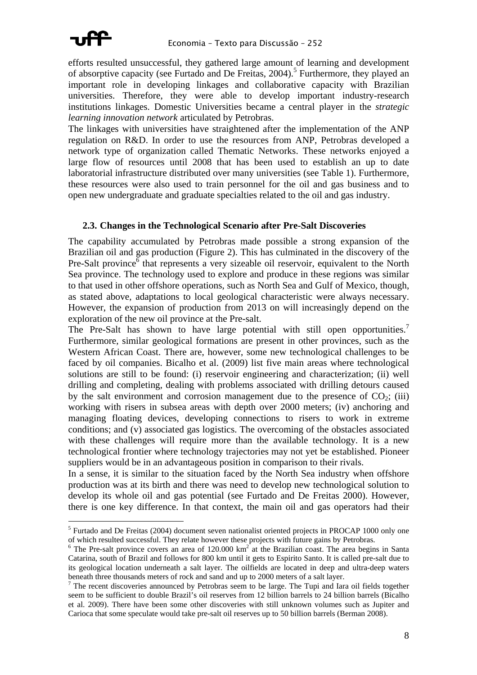

efforts resulted unsuccessful, they gathered large amount of learning and development of absorptive capacity (see Furtado and De Freitas, 2004).<sup>5</sup> Furthermore, they played an important role in developing linkages and collaborative capacity with Brazilian universities. Therefore, they were able to develop important industry-research institutions linkages. Domestic Universities became a central player in the *strategic learning innovation network* articulated by Petrobras.

The linkages with universities have straightened after the implementation of the ANP regulation on R&D. In order to use the resources from ANP, Petrobras developed a network type of organization called Thematic Networks. These networks enjoyed a large flow of resources until 2008 that has been used to establish an up to date laboratorial infrastructure distributed over many universities (see Table 1). Furthermore, these resources were also used to train personnel for the oil and gas business and to open new undergraduate and graduate specialties related to the oil and gas industry.

#### **2.3. Changes in the Technological Scenario after Pre-Salt Discoveries**

The capability accumulated by Petrobras made possible a strong expansion of the Brazilian oil and gas production (Figure 2). This has culminated in the discovery of the Pre-Salt province<sup> $\bar{\delta}$ </sup> that represents a very sizeable oil reservoir, equivalent to the North Sea province. The technology used to explore and produce in these regions was similar to that used in other offshore operations, such as North Sea and Gulf of Mexico, though, as stated above, adaptations to local geological characteristic were always necessary. However, the expansion of production from 2013 on will increasingly depend on the exploration of the new oil province at the Pre-salt.

The Pre-Salt has shown to have large potential with still open opportunities.<sup>7</sup> Furthermore, similar geological formations are present in other provinces, such as the Western African Coast. There are, however, some new technological challenges to be faced by oil companies. Bicalho et al. (2009) list five main areas where technological solutions are still to be found: (i) reservoir engineering and characterization; (ii) well drilling and completing, dealing with problems associated with drilling detours caused by the salt environment and corrosion management due to the presence of  $CO<sub>2</sub>$ ; (iii) working with risers in subsea areas with depth over 2000 meters; (iv) anchoring and managing floating devices, developing connections to risers to work in extreme conditions; and (v) associated gas logistics. The overcoming of the obstacles associated with these challenges will require more than the available technology. It is a new technological frontier where technology trajectories may not yet be established. Pioneer suppliers would be in an advantageous position in comparison to their rivals.

In a sense, it is similar to the situation faced by the North Sea industry when offshore production was at its birth and there was need to develop new technological solution to develop its whole oil and gas potential (see Furtado and De Freitas 2000). However, there is one key difference. In that context, the main oil and gas operators had their

<sup>&</sup>lt;sup>5</sup> Furtado and De Freitas (2004) document seven nationalist oriented projects in PROCAP 1000 only one

of which resulted successful. They relate however these projects with future gains by Petrobras.<br><sup>6</sup> The Pre-salt province covers an area of 120.000 km<sup>2</sup> at the Brazilian coast. The area begins in Santa Catarina, south of Brazil and follows for 800 km until it gets to Espirito Santo. It is called pre-salt due to its geological location underneath a salt layer. The oilfields are located in deep and ultra-deep waters beneath three thousands meters of rock and sand and up to 2000 meters of a salt layer. 7

<sup>&</sup>lt;sup>7</sup> The recent discoveries announced by Petrobras seem to be large. The Tupi and Iara oil fields together seem to be sufficient to double Brazil's oil reserves from 12 billion barrels to 24 billion barrels (Bicalho et al. 2009). There have been some other discoveries with still unknown volumes such as Jupiter and Carioca that some speculate would take pre-salt oil reserves up to 50 billion barrels (Berman 2008).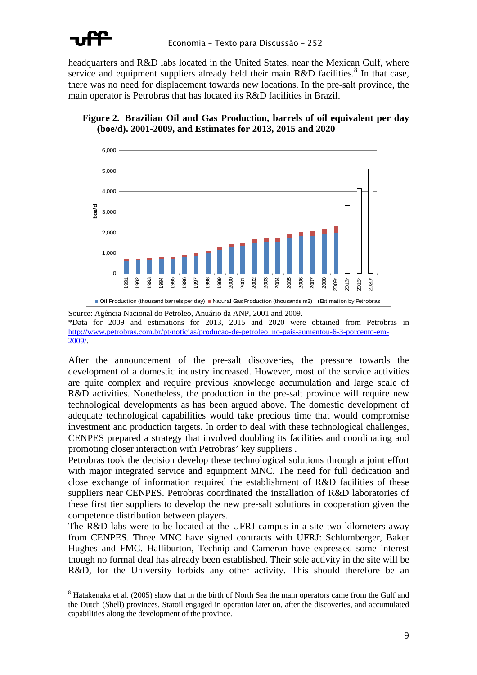

 $\overline{a}$ 

headquarters and R&D labs located in the United States, near the Mexican Gulf, where service and equipment suppliers already held their main  $R&D$  facilities.<sup>8</sup> In that case, there was no need for displacement towards new locations. In the pre-salt province, the main operator is Petrobras that has located its R&D facilities in Brazil.





Source: Agência Nacional do Petróleo, Anuário da ANP, 2001 and 2009. \*Data for 2009 and estimations for 2013, 2015 and 2020 were obtained from Petrobras in http://www.petrobras.com.br/pt/noticias/producao-de-petroleo\_no-pais-aumentou-6-3-porcento-em-2009/.

After the announcement of the pre-salt discoveries, the pressure towards the development of a domestic industry increased. However, most of the service activities are quite complex and require previous knowledge accumulation and large scale of R&D activities. Nonetheless, the production in the pre-salt province will require new technological developments as has been argued above. The domestic development of adequate technological capabilities would take precious time that would compromise investment and production targets. In order to deal with these technological challenges, CENPES prepared a strategy that involved doubling its facilities and coordinating and promoting closer interaction with Petrobras' key suppliers .

Petrobras took the decision develop these technological solutions through a joint effort with major integrated service and equipment MNC. The need for full dedication and close exchange of information required the establishment of R&D facilities of these suppliers near CENPES. Petrobras coordinated the installation of R&D laboratories of these first tier suppliers to develop the new pre-salt solutions in cooperation given the competence distribution between players.

The R&D labs were to be located at the UFRJ campus in a site two kilometers away from CENPES. Three MNC have signed contracts with UFRJ: Schlumberger, Baker Hughes and FMC. Halliburton, Technip and Cameron have expressed some interest though no formal deal has already been established. Their sole activity in the site will be R&D, for the University forbids any other activity. This should therefore be an

<sup>&</sup>lt;sup>8</sup> Hatakenaka et al. (2005) show that in the birth of North Sea the main operators came from the Gulf and the Dutch (Shell) provinces. Statoil engaged in operation later on, after the discoveries, and accumulated capabilities along the development of the province.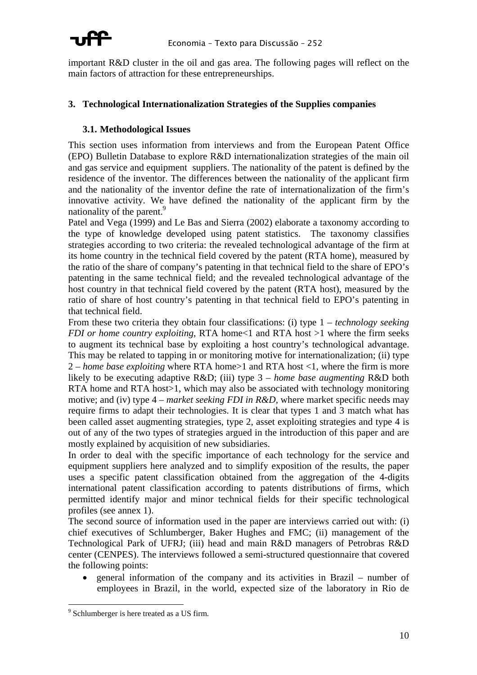

important R&D cluster in the oil and gas area. The following pages will reflect on the main factors of attraction for these entrepreneurships.

#### **3. Technological Internationalization Strategies of the Supplies companies**

#### **3.1. Methodological Issues**

This section uses information from interviews and from the European Patent Office (EPO) Bulletin Database to explore R&D internationalization strategies of the main oil and gas service and equipment suppliers. The nationality of the patent is defined by the residence of the inventor. The differences between the nationality of the applicant firm and the nationality of the inventor define the rate of internationalization of the firm's innovative activity. We have defined the nationality of the applicant firm by the nationality of the parent.<sup>9</sup>

Patel and Vega (1999) and Le Bas and Sierra (2002) elaborate a taxonomy according to the type of knowledge developed using patent statistics. The taxonomy classifies strategies according to two criteria: the revealed technological advantage of the firm at its home country in the technical field covered by the patent (RTA home), measured by the ratio of the share of company's patenting in that technical field to the share of EPO's patenting in the same technical field; and the revealed technological advantage of the host country in that technical field covered by the patent (RTA host), measured by the ratio of share of host country's patenting in that technical field to EPO's patenting in that technical field.

From these two criteria they obtain four classifications: (i) type 1 – *technology seeking FDI or home country exploiting*, RTA home<1 and RTA host >1 where the firm seeks to augment its technical base by exploiting a host country's technological advantage. This may be related to tapping in or monitoring motive for internationalization; (ii) type 2 – *home base exploiting* where RTA home>1 and RTA host <1, where the firm is more likely to be executing adaptive R&D; (iii) type 3 – *home base augmenting* R&D both RTA home and RTA host is which may also be associated with technology monitoring motive; and (iv) type  $4$  – *market seeking FDI in R&D*, where market specific needs may require firms to adapt their technologies. It is clear that types 1 and 3 match what has been called asset augmenting strategies, type 2, asset exploiting strategies and type 4 is out of any of the two types of strategies argued in the introduction of this paper and are mostly explained by acquisition of new subsidiaries.

In order to deal with the specific importance of each technology for the service and equipment suppliers here analyzed and to simplify exposition of the results, the paper uses a specific patent classification obtained from the aggregation of the 4-digits international patent classification according to patents distributions of firms, which permitted identify major and minor technical fields for their specific technological profiles (see annex 1).

The second source of information used in the paper are interviews carried out with: (i) chief executives of Schlumberger, Baker Hughes and FMC; (ii) management of the Technological Park of UFRJ; (iii) head and main R&D managers of Petrobras R&D center (CENPES). The interviews followed a semi-structured questionnaire that covered the following points:

• general information of the company and its activities in Brazil – number of employees in Brazil, in the world, expected size of the laboratory in Rio de

 $\overline{a}$ 

<sup>&</sup>lt;sup>9</sup> Schlumberger is here treated as a US firm.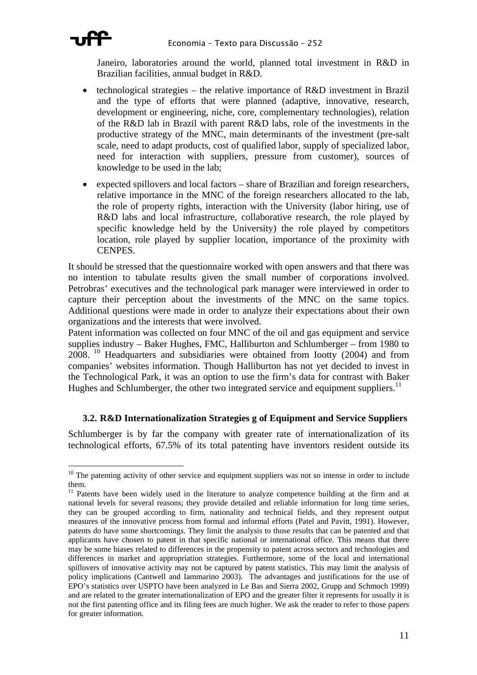

 $\overline{a}$ 

Janeiro, laboratories around the world, planned total investment in R&D in Brazilian facilities, annual budget in R&D.

- technological strategies the relative importance of R&D investment in Brazil and the type of efforts that were planned (adaptive, innovative, research, development or engineering, niche, core, complementary technologies), relation of the R&D lab in Brazil with parent R&D labs, role of the investments in the productive strategy of the MNC, main determinants of the investment (pre-salt scale, need to adapt products, cost of qualified labor, supply of specialized labor, need for interaction with suppliers, pressure from customer), sources of knowledge to be used in the lab;
- expected spillovers and local factors share of Brazilian and foreign researchers, relative importance in the MNC of the foreign researchers allocated to the lab, the role of property rights, interaction with the University (labor hiring, use of R&D labs and local infrastructure, collaborative research, the role played by specific knowledge held by the University) the role played by competitors location, role played by supplier location, importance of the proximity with CENPES.

It should be stressed that the questionnaire worked with open answers and that there was no intention to tabulate results given the small number of corporations involved. Petrobras' executives and the technological park manager were interviewed in order to capture their perception about the investments of the MNC on the same topics. Additional questions were made in order to analyze their expectations about their own organizations and the interests that were involved.

Patent information was collected on four MNC of the oil and gas equipment and service supplies industry – Baker Hughes, FMC, Halliburton and Schlumberger – from 1980 to 2008. 10 Headquarters and subsidiaries were obtained from Iootty (2004) and from companies' websites information. Though Halliburton has not yet decided to invest in the Technological Park, it was an option to use the firm's data for contrast with Baker Hughes and Schlumberger, the other two integrated service and equipment suppliers.<sup>11</sup>

#### **3.2. R&D Internationalization Strategies g of Equipment and Service Suppliers**

Schlumberger is by far the company with greater rate of internationalization of its technological efforts, 67.5% of its total patenting have inventors resident outside its

 $10$  The patenting activity of other service and equipment suppliers was not so intense in order to include

them.<br><sup>11</sup> Patents have been widely used in the literature to analyze competence building at the firm and at national levels for several reasons; they provide detailed and reliable information for long time series, they can be grouped according to firm, nationality and technical fields, and they represent output measures of the innovative process from formal and informal efforts (Patel and Pavitt, 1991). However, patents do have some shortcomings. They limit the analysis to those results that can be patented and that applicants have chosen to patent in that specific national or international office. This means that there may be some biases related to differences in the propensity to patent across sectors and technologies and differences in market and appropriation strategies. Furthermore, some of the local and international spillovers of innovative activity may not be captured by patent statistics. This may limit the analysis of policy implications (Cantwell and Iammarino 2003). The advantages and justifications for the use of EPO's statistics over USPTO have been analyzed in Le Bas and Sierra 2002, Grupp and Schmoch 1999) and are related to the greater internationalization of EPO and the greater filter it represents for usually it is not the first patenting office and its filing fees are much higher. We ask the reader to refer to those papers for greater information.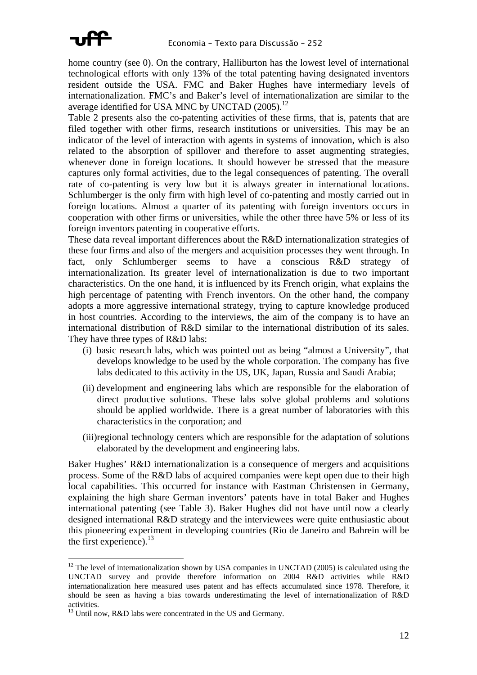

home country (see 0). On the contrary, Halliburton has the lowest level of international technological efforts with only 13% of the total patenting having designated inventors resident outside the USA. FMC and Baker Hughes have intermediary levels of internationalization. FMC's and Baker's level of internationalization are similar to the average identified for USA MNC by UNCTAD  $(2005)$ .<sup>12</sup>

Table 2 presents also the co-patenting activities of these firms, that is, patents that are filed together with other firms, research institutions or universities. This may be an indicator of the level of interaction with agents in systems of innovation, which is also related to the absorption of spillover and therefore to asset augmenting strategies, whenever done in foreign locations. It should however be stressed that the measure captures only formal activities, due to the legal consequences of patenting. The overall rate of co-patenting is very low but it is always greater in international locations. Schlumberger is the only firm with high level of co-patenting and mostly carried out in foreign locations. Almost a quarter of its patenting with foreign inventors occurs in cooperation with other firms or universities, while the other three have 5% or less of its foreign inventors patenting in cooperative efforts.

These data reveal important differences about the R&D internationalization strategies of these four firms and also of the mergers and acquisition processes they went through. In fact, only Schlumberger seems to have a conscious R&D strategy of internationalization. Its greater level of internationalization is due to two important characteristics. On the one hand, it is influenced by its French origin, what explains the high percentage of patenting with French inventors. On the other hand, the company adopts a more aggressive international strategy, trying to capture knowledge produced in host countries. According to the interviews, the aim of the company is to have an international distribution of R&D similar to the international distribution of its sales. They have three types of R&D labs:

- (i) basic research labs, which was pointed out as being "almost a University", that develops knowledge to be used by the whole corporation. The company has five labs dedicated to this activity in the US, UK, Japan, Russia and Saudi Arabia;
- (ii) development and engineering labs which are responsible for the elaboration of direct productive solutions. These labs solve global problems and solutions should be applied worldwide. There is a great number of laboratories with this characteristics in the corporation; and
- (iii)regional technology centers which are responsible for the adaptation of solutions elaborated by the development and engineering labs.

Baker Hughes' R&D internationalization is a consequence of mergers and acquisitions process. Some of the R&D labs of acquired companies were kept open due to their high local capabilities. This occurred for instance with Eastman Christensen in Germany, explaining the high share German inventors' patents have in total Baker and Hughes international patenting (see Table 3). Baker Hughes did not have until now a clearly designed international R&D strategy and the interviewees were quite enthusiastic about this pioneering experiment in developing countries (Rio de Janeiro and Bahrein will be the first experience). $^{13}$ 

 $\overline{a}$ 

 $12$  The level of internationalization shown by USA companies in UNCTAD (2005) is calculated using the UNCTAD survey and provide therefore information on 2004 R&D activities while R&D internationalization here measured uses patent and has effects accumulated since 1978. Therefore, it should be seen as having a bias towards underestimating the level of internationalization of R&D

 $13$  Until now, R&D labs were concentrated in the US and Germany.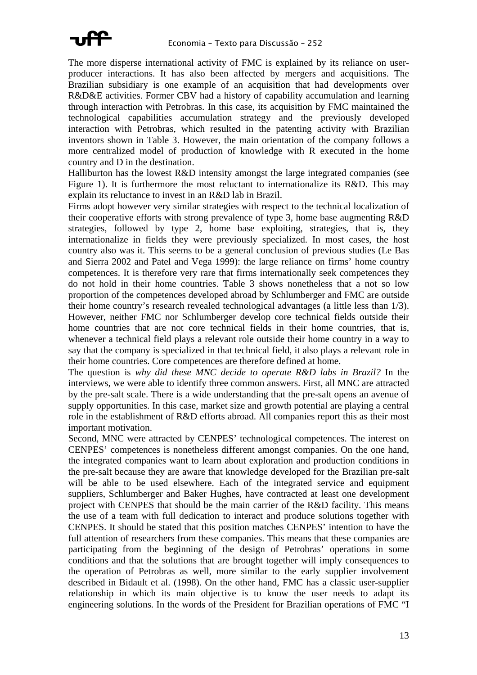

The more disperse international activity of FMC is explained by its reliance on userproducer interactions. It has also been affected by mergers and acquisitions. The Brazilian subsidiary is one example of an acquisition that had developments over R&D&E activities. Former CBV had a history of capability accumulation and learning through interaction with Petrobras. In this case, its acquisition by FMC maintained the technological capabilities accumulation strategy and the previously developed interaction with Petrobras, which resulted in the patenting activity with Brazilian inventors shown in Table 3. However, the main orientation of the company follows a more centralized model of production of knowledge with R executed in the home country and D in the destination.

Halliburton has the lowest R&D intensity amongst the large integrated companies (see Figure 1). It is furthermore the most reluctant to internationalize its R&D. This may explain its reluctance to invest in an R&D lab in Brazil.

Firms adopt however very similar strategies with respect to the technical localization of their cooperative efforts with strong prevalence of type 3, home base augmenting R&D strategies, followed by type 2, home base exploiting, strategies, that is, they internationalize in fields they were previously specialized. In most cases, the host country also was it. This seems to be a general conclusion of previous studies (Le Bas and Sierra 2002 and Patel and Vega 1999): the large reliance on firms' home country competences. It is therefore very rare that firms internationally seek competences they do not hold in their home countries. Table 3 shows nonetheless that a not so low proportion of the competences developed abroad by Schlumberger and FMC are outside their home country's research revealed technological advantages (a little less than 1/3). However, neither FMC nor Schlumberger develop core technical fields outside their home countries that are not core technical fields in their home countries, that is, whenever a technical field plays a relevant role outside their home country in a way to say that the company is specialized in that technical field, it also plays a relevant role in their home countries. Core competences are therefore defined at home.

The question is *why did these MNC decide to operate R&D labs in Brazil?* In the interviews, we were able to identify three common answers. First, all MNC are attracted by the pre-salt scale. There is a wide understanding that the pre-salt opens an avenue of supply opportunities. In this case, market size and growth potential are playing a central role in the establishment of R&D efforts abroad. All companies report this as their most important motivation.

Second, MNC were attracted by CENPES' technological competences. The interest on CENPES' competences is nonetheless different amongst companies. On the one hand, the integrated companies want to learn about exploration and production conditions in the pre-salt because they are aware that knowledge developed for the Brazilian pre-salt will be able to be used elsewhere. Each of the integrated service and equipment suppliers, Schlumberger and Baker Hughes, have contracted at least one development project with CENPES that should be the main carrier of the R&D facility. This means the use of a team with full dedication to interact and produce solutions together with CENPES. It should be stated that this position matches CENPES' intention to have the full attention of researchers from these companies. This means that these companies are participating from the beginning of the design of Petrobras' operations in some conditions and that the solutions that are brought together will imply consequences to the operation of Petrobras as well, more similar to the early supplier involvement described in Bidault et al. (1998). On the other hand, FMC has a classic user-supplier relationship in which its main objective is to know the user needs to adapt its engineering solutions. In the words of the President for Brazilian operations of FMC "I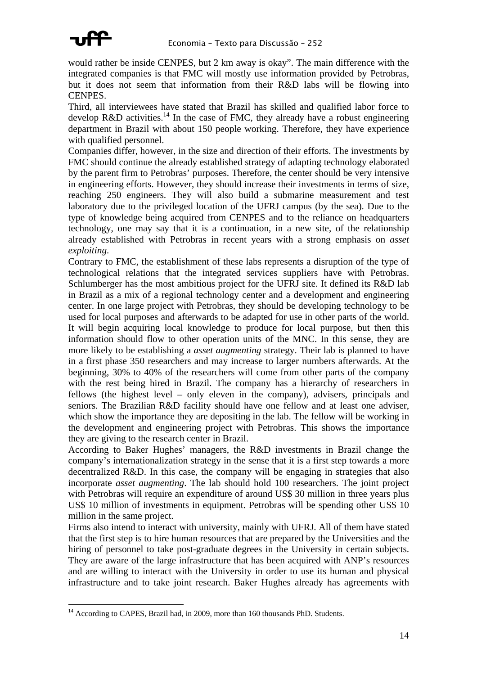

 $\overline{a}$ 

would rather be inside CENPES, but 2 km away is okay". The main difference with the integrated companies is that FMC will mostly use information provided by Petrobras, but it does not seem that information from their R&D labs will be flowing into CENPES.

Third, all interviewees have stated that Brazil has skilled and qualified labor force to develop R&D activities.<sup>14</sup> In the case of FMC, they already have a robust engineering department in Brazil with about 150 people working. Therefore, they have experience with qualified personnel.

Companies differ, however, in the size and direction of their efforts. The investments by FMC should continue the already established strategy of adapting technology elaborated by the parent firm to Petrobras' purposes. Therefore, the center should be very intensive in engineering efforts. However, they should increase their investments in terms of size, reaching 250 engineers. They will also build a submarine measurement and test laboratory due to the privileged location of the UFRJ campus (by the sea). Due to the type of knowledge being acquired from CENPES and to the reliance on headquarters technology, one may say that it is a continuation, in a new site, of the relationship already established with Petrobras in recent years with a strong emphasis on *asset exploiting*.

Contrary to FMC, the establishment of these labs represents a disruption of the type of technological relations that the integrated services suppliers have with Petrobras. Schlumberger has the most ambitious project for the UFRJ site. It defined its R&D lab in Brazil as a mix of a regional technology center and a development and engineering center. In one large project with Petrobras, they should be developing technology to be used for local purposes and afterwards to be adapted for use in other parts of the world. It will begin acquiring local knowledge to produce for local purpose, but then this information should flow to other operation units of the MNC. In this sense, they are more likely to be establishing a *asset augmenting* strategy. Their lab is planned to have in a first phase 350 researchers and may increase to larger numbers afterwards. At the beginning, 30% to 40% of the researchers will come from other parts of the company with the rest being hired in Brazil. The company has a hierarchy of researchers in fellows (the highest level – only eleven in the company), advisers, principals and seniors. The Brazilian R&D facility should have one fellow and at least one adviser, which show the importance they are depositing in the lab. The fellow will be working in the development and engineering project with Petrobras. This shows the importance they are giving to the research center in Brazil.

According to Baker Hughes' managers, the R&D investments in Brazil change the company's internationalization strategy in the sense that it is a first step towards a more decentralized R&D. In this case, the company will be engaging in strategies that also incorporate *asset augmenting*. The lab should hold 100 researchers. The joint project with Petrobras will require an expenditure of around US\$ 30 million in three years plus US\$ 10 million of investments in equipment. Petrobras will be spending other US\$ 10 million in the same project.

Firms also intend to interact with university, mainly with UFRJ. All of them have stated that the first step is to hire human resources that are prepared by the Universities and the hiring of personnel to take post-graduate degrees in the University in certain subjects. They are aware of the large infrastructure that has been acquired with ANP's resources and are willing to interact with the University in order to use its human and physical infrastructure and to take joint research. Baker Hughes already has agreements with

 $14$  According to CAPES, Brazil had, in 2009, more than 160 thousands PhD. Students.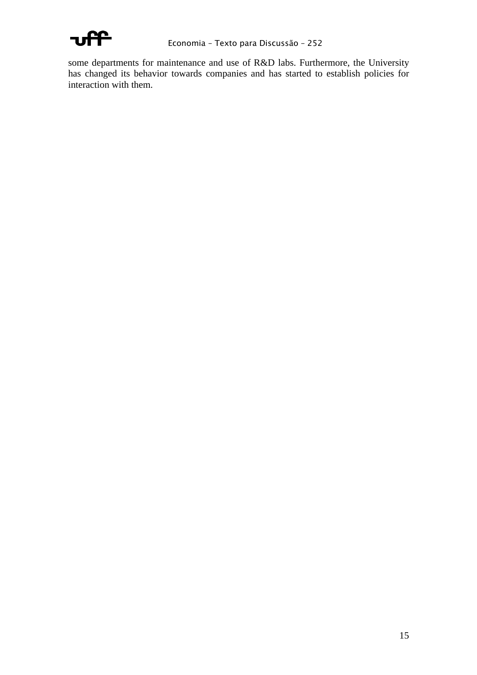

some departments for maintenance and use of R&D labs. Furthermore, the University has changed its behavior towards companies and has started to establish policies for interaction with them.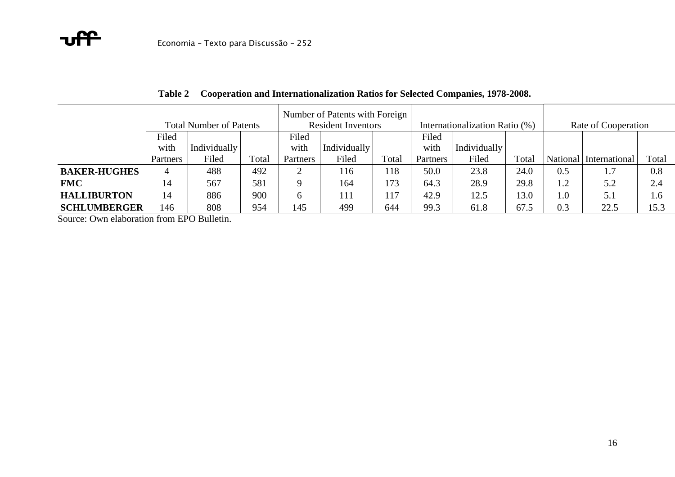|                     |          |                                |       |              | Number of Patents with Foreign |       |          |                                |       |                     |                        |       |  |  |
|---------------------|----------|--------------------------------|-------|--------------|--------------------------------|-------|----------|--------------------------------|-------|---------------------|------------------------|-------|--|--|
|                     |          | <b>Total Number of Patents</b> |       |              | <b>Resident Inventors</b>      |       |          | Internationalization Ratio (%) |       | Rate of Cooperation |                        |       |  |  |
|                     | Filed    |                                |       | Filed        |                                |       | Filed    |                                |       |                     |                        |       |  |  |
|                     | with     | Individually                   |       | with         | Individually                   |       | with     | Individually                   |       |                     |                        |       |  |  |
|                     | Partners | Filed                          | Total | Partners     | Filed                          | Total | Partners | Filed                          | Total |                     | National International | Total |  |  |
| <b>BAKER-HUGHES</b> |          | 488                            | 492   |              | 16                             | 118   | 50.0     | 23.8                           | 24.0  | 0.5                 | 1.7                    | 0.8   |  |  |
| <b>FMC</b>          | 14       | 567                            | 581   |              | 164                            | 173   | 64.3     | 28.9                           | 29.8  | 1.2                 | 5.2                    | 2.4   |  |  |
| <b>HALLIBURTON</b>  | 14       | 886                            | 900   | <sub>(</sub> | 111                            | 117   | 42.9     | 12.5                           | 13.0  | 1.0                 | 5.1                    | 1.6   |  |  |
| <b>SCHLUMBERGER</b> | 146      | 808                            | 954   | 145          | 499                            | 644   | 99.3     | 61.8                           | 67.5  | 0.3                 | 22.5                   | 15.3  |  |  |

**Table 2 Cooperation and Internationalization Ratios for Selected Companies, 1978-2008.** 

Source: Own elaboration from EPO Bulletin.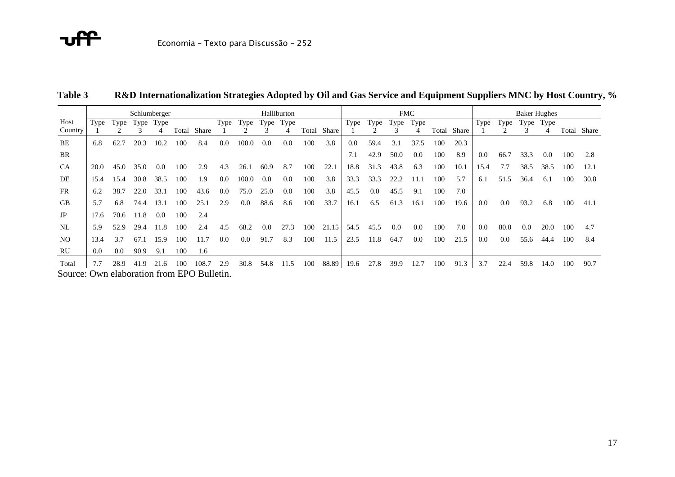|                                               | Schlumberger |      |      |           |       |       |      | Halliburton |      |      |       |       | <b>FMC</b> |         |      |      |       |       |      | <b>Baker Hughes</b> |      |      |     |             |  |
|-----------------------------------------------|--------------|------|------|-----------|-------|-------|------|-------------|------|------|-------|-------|------------|---------|------|------|-------|-------|------|---------------------|------|------|-----|-------------|--|
| Host                                          | Type         | Type |      | Type Type |       |       | Type | Type        | Type | Type |       |       | Type       | Type    | Type | Type |       |       | Type | Type                | Type | Type |     |             |  |
| Country                                       |              |      |      | 4         | Total | Share |      |             |      |      | Total | Share |            |         |      | 4    | Total | Share |      |                     |      | 4    |     | Total Share |  |
| BE                                            | 6.8          | 62.7 | 20.3 | 10.2      | 100   | 8.4   | 0.0  | 100.0       | 0.0  | 0.0  | 100   | 3.8   | 0.0        | 59.4    | 3.1  | 37.5 | 100   | 20.3  |      |                     |      |      |     |             |  |
| BR                                            |              |      |      |           |       |       |      |             |      |      |       |       | 7.1        | 42.9    | 50.0 | 0.0  | 100   | 8.9   | 0.0  | 66.7                | 33.3 | 0.0  | 100 | 2.8         |  |
| <b>CA</b>                                     | 20.0         | 45.0 | 35.0 | 0.0       | 100   | 2.9   | 4.3  | 26.1        | 60.9 | 8.7  | 100   | 22.1  | 18.8       | 31.3    | 43.8 | 6.3  | 100   | 10.1  | 15.4 | 7.7                 | 38.5 | 38.5 | 100 | 12.1        |  |
| DE                                            | 15.4         | 15.4 | 30.8 | 38.5      | 100   | 1.9   | 0.0  | 100.0       | 0.0  | 0.0  | 100   | 3.8   | 33.3       | 33.3    | 22.2 | 11.1 | 100   | 5.7   | 6.1  | 51.5                | 36.4 | 6.1  | 100 | 30.8        |  |
| <b>FR</b>                                     | 6.2          | 38.7 | 22.0 | 33.1      | 100   | 43.6  | 0.0  | 75.0        | 25.0 | 0.0  | 100   | 3.8   | 45.5       | $0.0\,$ | 45.5 | 9.1  | 100   | 7.0   |      |                     |      |      |     |             |  |
| <b>GB</b>                                     | 5.7          | 6.8  | 74.4 | 13.1      | 100   | 25.1  | 2.9  | $0.0\,$     | 88.6 | 8.6  | 100   | 33.7  | 16.1       | 6.5     | 61.3 | 16.1 | 100   | 19.6  | 0.0  | 0.0                 | 93.2 | 6.8  | 100 | 41.1        |  |
| JP                                            | 17.6         | 70.6 | 11.8 | 0.0       | 100   | 2.4   |      |             |      |      |       |       |            |         |      |      |       |       |      |                     |      |      |     |             |  |
| NL                                            | 5.9          | 52.9 | 29.4 | 11.8      | 100   | 2.4   | 4.5  | 68.2        | 0.0  | 27.3 | 100   | 21.15 | 54.5       | 45.5    | 0.0  | 0.0  | 100   | 7.0   | 0.0  | 80.0                | 0.0  | 20.0 | 100 | 4.7         |  |
| NO.                                           | 13.4         | 3.7  | 67.1 | 15.9      | 100   | 11.7  | 0.0  | $0.0\,$     | 91.7 | 8.3  | 100   | 11.5  | 23.5       | 11.8    | 64.7 | 0.0  | 100   | 21.5  | 0.0  | 0.0                 | 55.6 | 44.4 | 100 | 8.4         |  |
| RU                                            | 0.0          | 0.0  | 90.9 | 9.1       | 100   | 1.6   |      |             |      |      |       |       |            |         |      |      |       |       |      |                     |      |      |     |             |  |
| Total                                         | 7.7          | 28.9 | 41.9 | 21.6      | 100   | 108.7 | 2.9  | 30.8        | 54.8 | 11.5 | 100   | 88.89 | 19.6       | 27.8    | 39.9 | 12.7 | 100   | 91.3  | 3.7  | 22.4                | 59.8 | 14.0 | 100 | 90.7        |  |
| $Souron$ : $QW$ alghoration from EDO Pullatin |              |      |      |           |       |       |      |             |      |      |       |       |            |         |      |      |       |       |      |                     |      |      |     |             |  |

**Table 3R&D Internationalization Strategies Adopted by Oil and Gas Service and Equipment Suppliers MNC by Host Country, %** 

Source: Own elaboration from EPO Bulletin.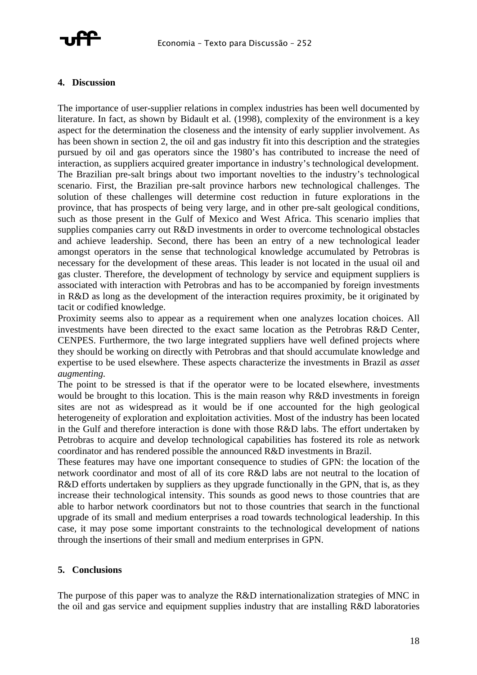

#### **4. Discussion**

The importance of user-supplier relations in complex industries has been well documented by literature. In fact, as shown by Bidault et al. (1998), complexity of the environment is a key aspect for the determination the closeness and the intensity of early supplier involvement. As has been shown in section 2, the oil and gas industry fit into this description and the strategies pursued by oil and gas operators since the 1980's has contributed to increase the need of interaction, as suppliers acquired greater importance in industry's technological development. The Brazilian pre-salt brings about two important novelties to the industry's technological scenario. First, the Brazilian pre-salt province harbors new technological challenges. The solution of these challenges will determine cost reduction in future explorations in the province, that has prospects of being very large, and in other pre-salt geological conditions, such as those present in the Gulf of Mexico and West Africa. This scenario implies that supplies companies carry out R&D investments in order to overcome technological obstacles and achieve leadership. Second, there has been an entry of a new technological leader amongst operators in the sense that technological knowledge accumulated by Petrobras is necessary for the development of these areas. This leader is not located in the usual oil and gas cluster. Therefore, the development of technology by service and equipment suppliers is associated with interaction with Petrobras and has to be accompanied by foreign investments in R&D as long as the development of the interaction requires proximity, be it originated by tacit or codified knowledge.

Proximity seems also to appear as a requirement when one analyzes location choices. All investments have been directed to the exact same location as the Petrobras R&D Center, CENPES. Furthermore, the two large integrated suppliers have well defined projects where they should be working on directly with Petrobras and that should accumulate knowledge and expertise to be used elsewhere. These aspects characterize the investments in Brazil as *asset augmenting.*

The point to be stressed is that if the operator were to be located elsewhere, investments would be brought to this location. This is the main reason why R&D investments in foreign sites are not as widespread as it would be if one accounted for the high geological heterogeneity of exploration and exploitation activities. Most of the industry has been located in the Gulf and therefore interaction is done with those R&D labs. The effort undertaken by Petrobras to acquire and develop technological capabilities has fostered its role as network coordinator and has rendered possible the announced R&D investments in Brazil.

These features may have one important consequence to studies of GPN: the location of the network coordinator and most of all of its core R&D labs are not neutral to the location of R&D efforts undertaken by suppliers as they upgrade functionally in the GPN, that is, as they increase their technological intensity. This sounds as good news to those countries that are able to harbor network coordinators but not to those countries that search in the functional upgrade of its small and medium enterprises a road towards technological leadership. In this case, it may pose some important constraints to the technological development of nations through the insertions of their small and medium enterprises in GPN.

#### **5. Conclusions**

The purpose of this paper was to analyze the R&D internationalization strategies of MNC in the oil and gas service and equipment supplies industry that are installing R&D laboratories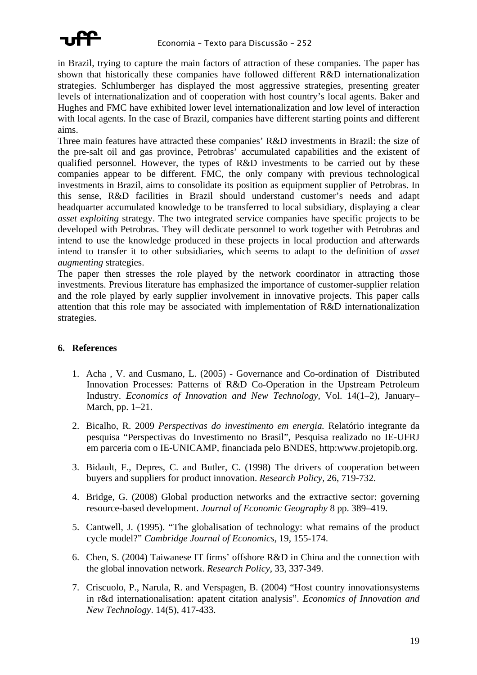

in Brazil, trying to capture the main factors of attraction of these companies. The paper has shown that historically these companies have followed different R&D internationalization strategies. Schlumberger has displayed the most aggressive strategies, presenting greater levels of internationalization and of cooperation with host country's local agents. Baker and Hughes and FMC have exhibited lower level internationalization and low level of interaction with local agents. In the case of Brazil, companies have different starting points and different aims.

Three main features have attracted these companies' R&D investments in Brazil: the size of the pre-salt oil and gas province, Petrobras' accumulated capabilities and the existent of qualified personnel. However, the types of R&D investments to be carried out by these companies appear to be different. FMC, the only company with previous technological investments in Brazil, aims to consolidate its position as equipment supplier of Petrobras. In this sense, R&D facilities in Brazil should understand customer's needs and adapt headquarter accumulated knowledge to be transferred to local subsidiary, displaying a clear *asset exploiting* strategy. The two integrated service companies have specific projects to be developed with Petrobras. They will dedicate personnel to work together with Petrobras and intend to use the knowledge produced in these projects in local production and afterwards intend to transfer it to other subsidiaries, which seems to adapt to the definition of *asset augmenting* strategies.

The paper then stresses the role played by the network coordinator in attracting those investments. Previous literature has emphasized the importance of customer-supplier relation and the role played by early supplier involvement in innovative projects. This paper calls attention that this role may be associated with implementation of R&D internationalization strategies.

#### **6. References**

- 1. Acha , V. and Cusmano, L. (2005) Governance and Co-ordination of Distributed Innovation Processes: Patterns of R&D Co-Operation in the Upstream Petroleum Industry. *Economics of Innovation and New Technology,* Vol. 14(1–2), January– March, pp. 1–21.
- 2. Bicalho, R. 2009 *Perspectivas do investimento em energia.* Relatório integrante da pesquisa "Perspectivas do Investimento no Brasil", Pesquisa realizado no IE-UFRJ em parceria com o IE-UNICAMP, financiada pelo BNDES, http:www.projetopib.org.
- 3. Bidault, F., Depres, C. and Butler, C. (1998) The drivers of cooperation between buyers and suppliers for product innovation. *Research Policy,* 26, 719-732.
- 4. Bridge, G. (2008) Global production networks and the extractive sector: governing resource-based development. *Journal of Economic Geography* 8 pp. 389–419.
- 5. Cantwell, J. (1995). "The globalisation of technology: what remains of the product cycle model?" *Cambridge Journal of Economics*, 19, 155-174.
- 6. Chen, S. (2004) Taiwanese IT firms' offshore R&D in China and the connection with the global innovation network. *Research Policy*, 33, 337-349.
- 7. Criscuolo, P., Narula, R. and Verspagen, B. (2004) "Host country innovationsystems in r&d internationalisation: apatent citation analysis". *Economics of Innovation and New Technology*. 14(5), 417-433.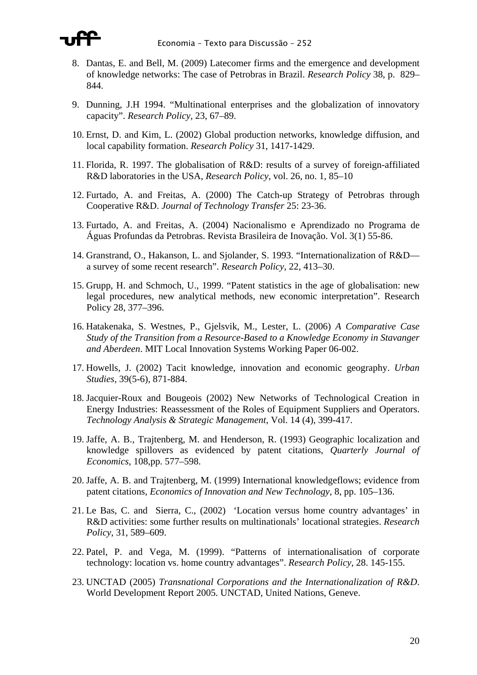

- 8. Dantas, E. and Bell, M. (2009) Latecomer firms and the emergence and development of knowledge networks: The case of Petrobras in Brazil. *Research Policy* 38, p. 829– 844.
- 9. Dunning, J.H 1994. "Multinational enterprises and the globalization of innovatory capacity". *Research Policy*, 23, 67–89.
- 10. Ernst, D. and Kim, L. (2002) Global production networks, knowledge diffusion, and local capability formation. *Research Policy* 31, 1417-1429.
- 11. Florida, R. 1997. The globalisation of R&D: results of a survey of foreign-affiliated R&D laboratories in the USA, *Research Policy*, vol. 26, no. 1, 85–10
- 12. Furtado, A. and Freitas, A. (2000) The Catch-up Strategy of Petrobras through Cooperative R&D. *Journal of Technology Transfer* 25: 23-36.
- 13. Furtado, A. and Freitas, A. (2004) Nacionalismo e Aprendizado no Programa de Águas Profundas da Petrobras. Revista Brasileira de Inovação. Vol. 3(1) 55-86.
- 14. Granstrand, O., Hakanson, L. and Sjolander, S. 1993. "Internationalization of R&D a survey of some recent research". *Research Policy*, 22, 413–30.
- 15. Grupp, H. and Schmoch, U., 1999. "Patent statistics in the age of globalisation: new legal procedures, new analytical methods, new economic interpretation". Research Policy 28, 377–396.
- 16. Hatakenaka, S. Westnes, P., Gjelsvik, M., Lester, L. (2006) *A Comparative Case Study of the Transition from a Resource-Based to a Knowledge Economy in Stavanger and Aberdeen*. MIT Local Innovation Systems Working Paper 06-002.
- 17. Howells, J. (2002) Tacit knowledge, innovation and economic geography. *Urban Studies,* 39(5-6), 871-884.
- 18. Jacquier-Roux and Bougeois (2002) New Networks of Technological Creation in Energy Industries: Reassessment of the Roles of Equipment Suppliers and Operators. *Technology Analysis & Strategic Management*, Vol. 14 (4), 399-417.
- 19. Jaffe, A. B., Trajtenberg, M. and Henderson, R. (1993) Geographic localization and knowledge spillovers as evidenced by patent citations, *Quarterly Journal of Economics*, 108,pp. 577–598.
- 20. Jaffe, A. B. and Trajtenberg, M. (1999) International knowledgeflows; evidence from patent citations, *Economics of Innovation and New Technology*, 8, pp. 105–136.
- 21. Le Bas, C. and Sierra, C., (2002) 'Location versus home country advantages' in R&D activities: some further results on multinationals' locational strategies. *Research Policy*, 31, 589–609.
- 22. Patel, P. and Vega, M. (1999). "Patterns of internationalisation of corporate technology: location vs. home country advantages". *Research Policy*, 28. 145-155.
- 23. UNCTAD (2005) *Transnational Corporations and the Internationalization of R&D*. World Development Report 2005. UNCTAD, United Nations, Geneve.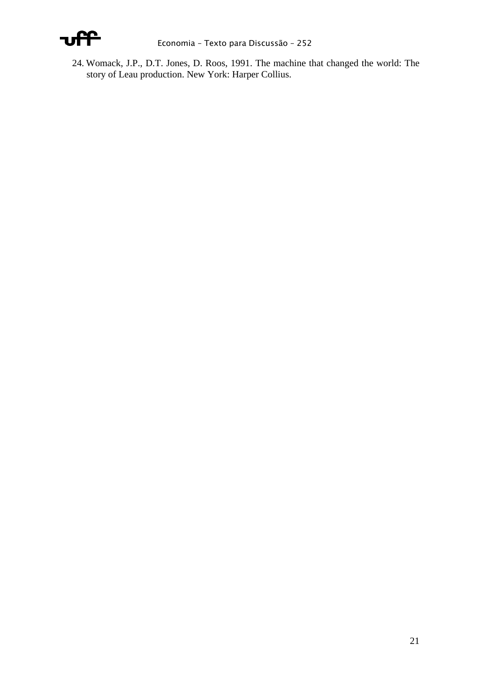

24. Womack, J.P., D.T. Jones, D. Roos, 1991. The machine that changed the world: The story of Leau production. New York: Harper Collius.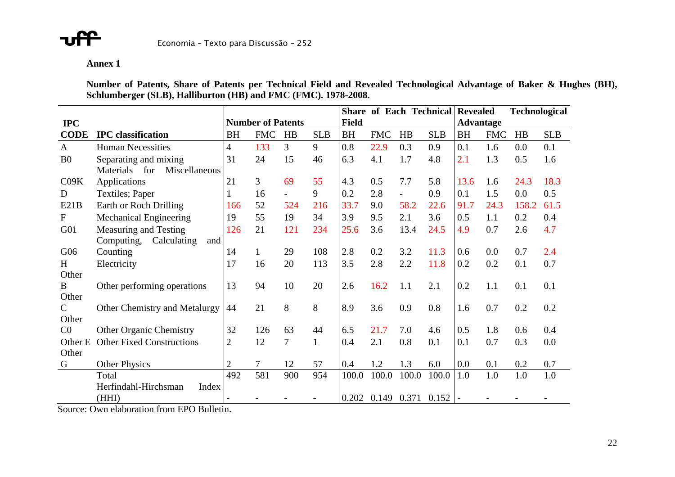

#### **Annex 1**

**Number of Patents, Share of Patents per Technical Field and Revealed Technological Advantage of Baker & Hughes (BH), Schlumberger (SLB), Halliburton (HB) and FMC (FMC). 1978-2008.** 

|                 |                                          |                |                          |                |              |              | <b>Share of Each Technical Revealed</b> |                          |            |                  |            | <b>Technological</b> |            |
|-----------------|------------------------------------------|----------------|--------------------------|----------------|--------------|--------------|-----------------------------------------|--------------------------|------------|------------------|------------|----------------------|------------|
| <b>IPC</b>      |                                          |                | <b>Number of Patents</b> |                |              | <b>Field</b> |                                         |                          |            | <b>Advantage</b> |            |                      |            |
| <b>CODE</b>     | <b>IPC</b> classification                | <b>BH</b>      | <b>FMC</b>               | HB             | <b>SLB</b>   | <b>BH</b>    | <b>FMC</b>                              | HB                       | <b>SLB</b> | <b>BH</b>        | <b>FMC</b> | HB                   | <b>SLB</b> |
| $\mathbf{A}$    | <b>Human Necessities</b>                 | $\overline{4}$ | 133                      | 3              | 9            | 0.8          | 22.9                                    | 0.3                      | 0.9        | 0.1              | 1.6        | 0.0                  | 0.1        |
| B <sub>0</sub>  | Separating and mixing                    | 31             | 24                       | 15             | 46           | 6.3          | 4.1                                     | 1.7                      | 4.8        | 2.1              | 1.3        | 0.5                  | 1.6        |
|                 | <b>Materials</b><br>for<br>Miscellaneous |                |                          |                |              |              |                                         |                          |            |                  |            |                      |            |
| C09K            | Applications                             | 21             | 3                        | 69             | 55           | 4.3          | 0.5                                     | 7.7                      | 5.8        | 13.6             | 1.6        | 24.3                 | 18.3       |
| D               | Textiles; Paper                          |                | 16                       | $\overline{a}$ | 9            | 0.2          | 2.8                                     | $\overline{\phantom{0}}$ | 0.9        | 0.1              | 1.5        | 0.0                  | 0.5        |
| E21B            | Earth or Roch Drilling                   | 166            | 52                       | 524            | 216          | 33.7         | 9.0                                     | 58.2                     | 22.6       | 91.7             | 24.3       | 158.2                | 61.5       |
| $\mathbf{F}$    | <b>Mechanical Engineering</b>            | 19             | 55                       | 19             | 34           | 3.9          | 9.5                                     | 2.1                      | 3.6        | 0.5              | 1.1        | 0.2                  | 0.4        |
| G <sub>01</sub> | Measuring and Testing                    | 126            | 21                       | 121            | 234          | 25.6         | 3.6                                     | 13.4                     | 24.5       | 4.9              | 0.7        | 2.6                  | 4.7        |
|                 | Computing,<br>and<br>Calculating         |                |                          |                |              |              |                                         |                          |            |                  |            |                      |            |
| G06             | Counting                                 | 14             | $\mathbf{1}$             | 29             | 108          | 2.8          | 0.2                                     | 3.2                      | 11.3       | 0.6              | 0.0        | 0.7                  | 2.4        |
| H               | Electricity                              | 17             | 16                       | 20             | 113          | 3.5          | 2.8                                     | 2.2                      | 11.8       | 0.2              | 0.2        | 0.1                  | 0.7        |
| Other           |                                          |                |                          |                |              |              |                                         |                          |            |                  |            |                      |            |
| B               | Other performing operations              | 13             | 94                       | 10             | 20           | 2.6          | 16.2                                    | 1.1                      | 2.1        | 0.2              | 1.1        | 0.1                  | 0.1        |
| Other           |                                          |                |                          |                |              |              |                                         |                          |            |                  |            |                      |            |
| $\mathcal{C}$   | Other Chemistry and Metalurgy            | 44             | 21                       | 8              | 8            | 8.9          | 3.6                                     | 0.9                      | 0.8        | 1.6              | 0.7        | 0.2                  | 0.2        |
| Other           |                                          |                |                          |                |              |              |                                         |                          |            |                  |            |                      |            |
| C <sub>0</sub>  | <b>Other Organic Chemistry</b>           | 32             | 126                      | 63             | 44           | 6.5          | 21.7                                    | 7.0                      | 4.6        | 0.5              | 1.8        | 0.6                  | 0.4        |
| Other E         | <b>Other Fixed Constructions</b>         | $\overline{2}$ | 12                       | 7              | $\mathbf{1}$ | 0.4          | 2.1                                     | 0.8                      | 0.1        | 0.1              | 0.7        | 0.3                  | 0.0        |
| Other           |                                          |                |                          |                |              |              |                                         |                          |            |                  |            |                      |            |
| G               | <b>Other Physics</b>                     | $\overline{2}$ | $\overline{7}$           | 12             | 57           | 0.4          | 1.2                                     | 1.3                      | 6.0        | 0.0              | 0.1        | 0.2                  | 0.7        |
|                 | Total                                    | 492            | 581                      | 900            | 954          | 100.0        | 100.0                                   | 100.0                    | 100.0      | 1.0              | 1.0        | 1.0                  | 1.0        |
|                 | Herfindahl-Hirchsman<br>Index            |                |                          |                |              |              |                                         |                          |            |                  |            |                      |            |
|                 | (HHI)                                    |                |                          |                |              | 0.202        | 0.149                                   | 0.371                    | 0.152      |                  |            |                      |            |

Source: Own elaboration from EPO Bulletin.